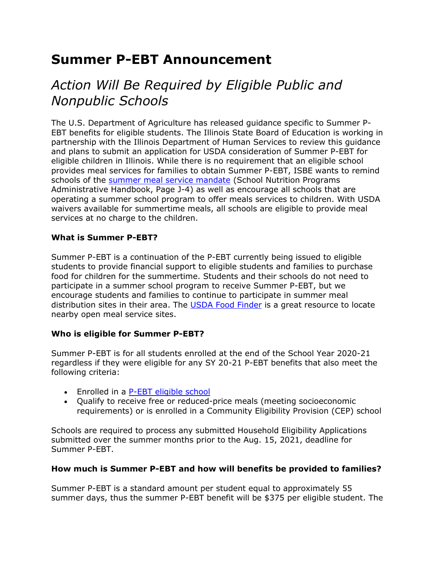# **Summer P-EBT Announcement**

# *Action Will Be Required by Eligible Public and Nonpublic Schools*

The U.S. Department of Agriculture has released guidance specific to Summer P-EBT benefits for eligible students. The Illinois State Board of Education is working in partnership with the Illinois Department of Human Services to review this guidance and plans to submit an application for USDA consideration of Summer P-EBT for eligible children in Illinois. While there is no requirement that an eligible school provides meal services for families to obtain Summer P-EBT, ISBE wants to remind schools of the [summer meal service mandate](https://www.isbe.net/Documents/J-Misc-Fed-State-Reg.pdf) (School Nutrition Programs Administrative Handbook, Page J-4) as well as encourage all schools that are operating a summer school program to offer meals services to children. With USDA waivers available for summertime meals, all schools are eligible to provide meal services at no charge to the children.

### **What is Summer P-EBT?**

Summer P-EBT is a continuation of the P-EBT currently being issued to eligible students to provide financial support to eligible students and families to purchase food for children for the summertime. Students and their schools do not need to participate in a summer school program to receive Summer P-EBT, but we encourage students and families to continue to participate in summer meal distribution sites in their area. The [USDA Food Finder](https://www.fns.usda.gov/meals4kids) is a great resource to locate nearby open meal service sites.

### **Who is eligible for Summer P-EBT?**

Summer P-EBT is for all students enrolled at the end of the School Year 2020-21 regardless if they were eligible for any SY 20-21 P-EBT benefits that also meet the following criteria:

- Enrolled in a [P-EBT eligible school](https://www.isbe.net/Documents/IL-SY20-21-PEBTeligibleschools.pdf)
- Qualify to receive free or reduced-price meals (meeting socioeconomic requirements) or is enrolled in a Community Eligibility Provision (CEP) school

Schools are required to process any submitted Household Eligibility Applications submitted over the summer months prior to the Aug. 15, 2021, deadline for Summer P-EBT.

### **How much is Summer P-EBT and how will benefits be provided to families?**

Summer P-EBT is a standard amount per student equal to approximately 55 summer days, thus the summer P-EBT benefit will be \$375 per eligible student. The